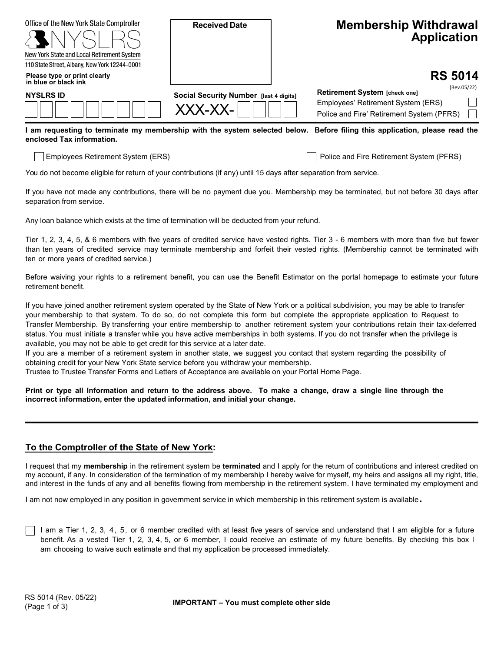| Office of the New York State Comptroller<br>New York State and Local Retirement System | <b>Received Date</b>                              | <b>Membership Withdrawal</b><br><b>Application</b>                                                                              |
|----------------------------------------------------------------------------------------|---------------------------------------------------|---------------------------------------------------------------------------------------------------------------------------------|
| 110 State Street, Albany, New York 12244-0001<br>Please type or print clearly          |                                                   | <b>RS 5014</b>                                                                                                                  |
| in blue or black ink<br><b>NYSLRS ID</b>                                               | Social Security Number [last 4 digits]<br>XXX-XX- | (Rev.05/22)<br>Retirement System [check one]<br>Employees' Retirement System (ERS)<br>Police and Fire' Retirement System (PFRS) |

**I am requesting to terminate my membership with the system selected below. Before filing this application, please read the enclosed Tax information.** 

Employees Retirement System (ERS) Police and Fire Retirement System (PFRS)

You do not become eligible for return of your contributions (if any) until 15 days after separation from service.

If you have not made any contributions, there will be no payment due you. Membership may be terminated, but not before 30 days after separation from service.

Any loan balance which exists at the time of termination will be deducted from your refund.

Tier 1, 2, 3, 4, 5, & 6 members with five years of credited service have vested rights. Tier 3 - 6 members with more than five but fewer than ten years of credited service may terminate membership and forfeit their vested rights. (Membership cannot be terminated with ten or more years of credited service.)

Before waiving your rights to a retirement benefit, you can use the Benefit Estimator on the portal homepage to estimate your future retirement benefit.

If you have joined another retirement system operated by the State of New York or a political subdivision, you may be able to transfer your membership to that system. To do so, do not complete this form but complete the appropriate application to Request to Transfer Membership. By transferring your entire membership to another retirement system your contributions retain their tax-deferred status. You must initiate a transfer while you have active memberships in both systems. If you do not transfer when the privilege is available, you may not be able to get credit for this service at a later date.

If you are a member of a retirement system in another state, we suggest you contact that system regarding the possibility of obtaining credit for your New York State service before you withdraw your membership.

Trustee to Trustee Transfer Forms and Letters of Acceptance are available on your Portal Home Page.

**Print or type all Information and return to the address above. To make a change, draw a single line through the incorrect information, enter the updated information, and initial your change.** 

## **To the Comptroller of the State of New York:**

I request that my **membership** in the retirement system be **terminated** and I apply for the return of contributions and interest credited on my account, if any. In consideration of the termination of my membership I hereby waive for myself, my heirs and assigns all my right, title, and interest in the funds of any and all benefits flowing from membership in the retirement system. I have terminated my employment and

I am not now employed in any position in government service in which membership in this retirement system is available.

I am a Tier 1, 2, 3, 4, 5, or 6 member credited with at least five years of service and understand that I am eligible for a future benefit. As a vested Tier 1, 2, 3, 4, 5, or 6 member, I could receive an estimate of my future benefits. By checking this box I am choosing to waive such estimate and that my application be processed immediately.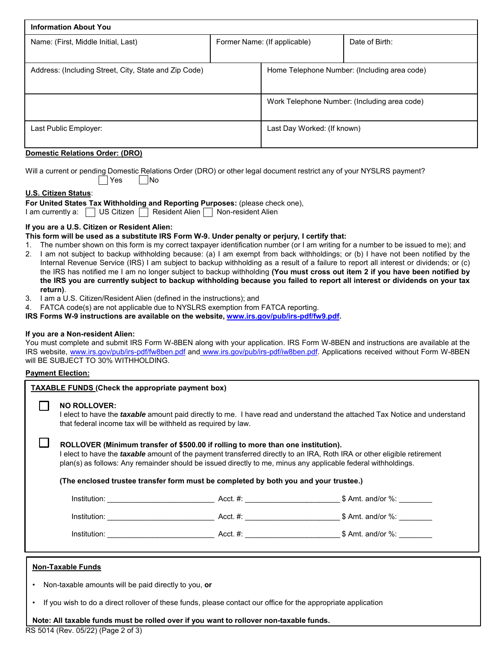| <b>Information About You</b>                          |  |                                              |                                              |  |
|-------------------------------------------------------|--|----------------------------------------------|----------------------------------------------|--|
| Name: (First, Middle Initial, Last)                   |  | Former Name: (If applicable)                 | Date of Birth:                               |  |
|                                                       |  |                                              |                                              |  |
| Address: (Including Street, City, State and Zip Code) |  | Home Telephone Number: (Including area code) |                                              |  |
|                                                       |  |                                              |                                              |  |
|                                                       |  |                                              | Work Telephone Number: (Including area code) |  |
| Last Public Employer:                                 |  | Last Day Worked: (If known)                  |                                              |  |

## **Domestic Relations Order: (DRO)**

Will a current or pending Domestic Relations Order (DRO) or other legal document restrict any of your NYSLRS payment? | Yes | INo

## **U.S. Citizen Status**:

**For United States Tax Withholding and Reporting Purposes:** (please check one),

I am currently a:  $\Box$  US Citizen  $\Box$  Resident Alien  $\Box$  Non-resident Alien

## **If you are a U.S. Citizen or Resident Alien:**

**This form will be used as a substitute IRS Form W-9. Under penalty or perjury, I certify that:** 

- 1. The number shown on this form is my correct taxpayer identification number (or I am writing for a number to be issued to me); and
- 2. I am not subject to backup withholding because: (a) I am exempt from back withholdings; or (b) I have not been notified by the Internal Revenue Service (IRS) I am subject to backup withholding as a result of a failure to report all interest or dividends; or (c) the IRS has notified me I am no longer subject to backup withholding **(You must cross out item 2 if you have been notified by the IRS you are currently subject to backup withholding because you failed to report all interest or dividends on your tax return)**.
- 3. I am a U.S. Citizen/Resident Alien (defined in the instructions); and
- 4. FATCA code(s) are not applicable due to NYSLRS exemption from FATCA reporting.

**IRS Forms W-9 instructions are available on the website, www.irs.gov/pub/irs-pdf/fw9.pdf.**

## **If you are a Non-resident Alien:**

You must complete and submit IRS Form W-8BEN along with your application. IRS Form W-8BEN and instructions are available at the IRS website, www.irs.gov/pub/irs-pdf/fw8ben.pdf and www.irs.gov/pub/irs-pdf/iw8ben.pdf. Applications received without Form W-8BEN will BE SUBJECT TO 30% WITHHOLDING.

## **Payment Election:**

| <b>TAXABLE FUNDS (Check the appropriate payment box)</b>                                                                                                                                          |                                                                                                                                                                                                                                                                                                                                                                                                                             |  |  |  |  |
|---------------------------------------------------------------------------------------------------------------------------------------------------------------------------------------------------|-----------------------------------------------------------------------------------------------------------------------------------------------------------------------------------------------------------------------------------------------------------------------------------------------------------------------------------------------------------------------------------------------------------------------------|--|--|--|--|
|                                                                                                                                                                                                   | <b>NO ROLLOVER:</b><br>I elect to have the <i>taxable</i> amount paid directly to me. I have read and understand the attached Tax Notice and understand<br>that federal income tax will be withheld as required by law.                                                                                                                                                                                                     |  |  |  |  |
|                                                                                                                                                                                                   | ROLLOVER (Minimum transfer of \$500.00 if rolling to more than one institution).<br>I elect to have the <i>taxable</i> amount of the payment transferred directly to an IRA, Roth IRA or other eligible retirement<br>plan(s) as follows: Any remainder should be issued directly to me, minus any applicable federal withholdings.<br>(The enclosed trustee transfer form must be completed by both you and your trustee.) |  |  |  |  |
|                                                                                                                                                                                                   |                                                                                                                                                                                                                                                                                                                                                                                                                             |  |  |  |  |
|                                                                                                                                                                                                   |                                                                                                                                                                                                                                                                                                                                                                                                                             |  |  |  |  |
|                                                                                                                                                                                                   |                                                                                                                                                                                                                                                                                                                                                                                                                             |  |  |  |  |
| <b>Non-Taxable Funds</b><br>Non-taxable amounts will be paid directly to you, or<br>If you wish to do a direct rollover of these funds, please contact our office for the appropriate application |                                                                                                                                                                                                                                                                                                                                                                                                                             |  |  |  |  |

**Note: All taxable funds must be rolled over if you want to rollover non-taxable funds.**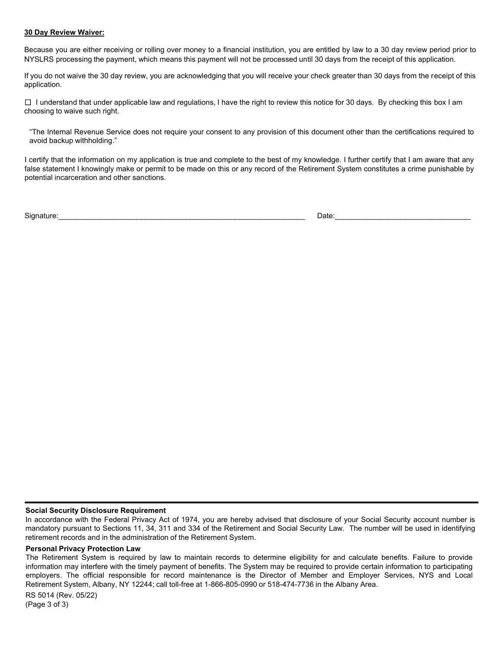#### **30 Day Review Waiver:**

Because you are either receiving or rolling over money to a financial institution, you are entitled by law to a 30 day review period prior to NYSLRS processing the payment, which means this payment will not be processed until 30 days from the receipt of this application.

If you do not waive the 30 day review, you are acknowledging that you will receive your check greater than 30 days from the receipt of this application.

 choosing to waive such right.  $\Box$  I understand that under applicable law and regulations, I have the right to review this notice for 30 days. By checking this box I am

"The Internal Revenue Service does not require your consent to any provision of this document other than the certifications required to avoid backup withholding."

I certify that the information on my application is true and complete to the best of my knowledge. I further certify that I am aware that any false statement I knowingly make or permit to be made on this or any record of the Retirement System constitutes a crime punishable by potential incarceration and other sanctions.

Signature:\_\_\_\_\_\_\_\_\_\_\_\_\_\_\_\_\_\_\_\_\_\_\_\_\_\_\_\_\_\_\_\_\_\_\_\_\_\_\_\_\_\_\_\_\_\_\_\_\_\_\_\_\_\_\_\_\_\_\_\_ \_\_\_\_\_\_\_\_\_\_\_\_\_\_\_\_\_\_\_\_\_\_\_\_\_\_\_\_\_\_\_\_\_ Date:

#### **Social Security Disclosure Requirement**

In accordance with the Federal Privacy Act of 1974, you are hereby advised that disclosure of your Social Security account number is mandatory pursuant to Sections 11, 34, 311 and 334 of the Retirement and Social Security Law. The number will be used in identifying retirement records and in the administration of the Retirement System.

#### **Personal Privacy Protection Law**

The Retirement System is required by law to maintain records to determine eligibility for and calculate benefits. Failure to provide information may interfere with the timely payment of benefits. The System may be required to provide certain information to participating employers. The official responsible for record maintenance is the Director of Member and Employer Services, NYS and Local Retirement System, Albany, NY 12244; call toll-free at 1-866-805-0990 or 518-474-7736 in the Albany Area.

RS 5014 (Rev. 05/22) (Page 3 of 3)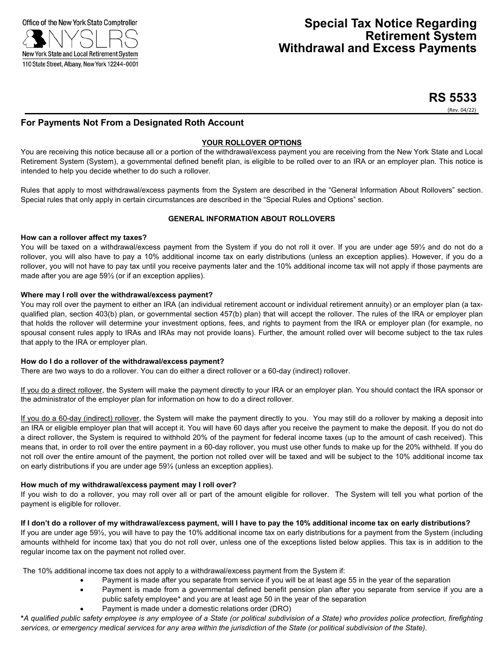

# **RS 5533**

(Rev. 04/22)

## **For Payments Not From a Designated Roth Account**

## **YOUR ROLLOVER OPTIONS**

You are receiving this notice because all or a portion of the withdrawal/excess payment you are receiving from the New York State and Local Retirement System (System), a governmental defined benefit plan, is eligible to be rolled over to an IRA or an employer plan. This notice is intended to help you decide whether to do such a rollover.

Rules that apply to most withdrawal/excess payments from the System are described in the "General Information About Rollovers" section. Special rules that only apply in certain circumstances are described in the "Special Rules and Options" section.

#### **GENERAL INFORMATION ABOUT ROLLOVERS**

#### **How can a rollover affect my taxes?**

You will be taxed on a withdrawal/excess payment from the System if you do not roll it over. If you are under age 59½ and do not do a rollover, you will also have to pay a 10% additional income tax on early distributions (unless an exception applies). However, if you do a rollover, you will not have to pay tax until you receive payments later and the 10% additional income tax will not apply if those payments are made after you are age 59½ (or if an exception applies).

#### **Where may I roll over the withdrawal/excess payment?**

You may roll over the payment to either an IRA (an individual retirement account or individual retirement annuity) or an employer plan (a taxqualified plan, section 403(b) plan, or governmental section 457(b) plan) that will accept the rollover. The rules of the IRA or employer plan that holds the rollover will determine your investment options, fees, and rights to payment from the IRA or employer plan (for example, no spousal consent rules apply to IRAs and IRAs may not provide loans). Further, the amount rolled over will become subject to the tax rules that apply to the IRA or employer plan.

#### **How do I do a rollover of the withdrawal/excess payment?**

There are two ways to do a rollover. You can do either a direct rollover or a 60-day (indirect) rollover.

If you do a direct rollover, the System will make the payment directly to your IRA or an employer plan. You should contact the IRA sponsor or the administrator of the employer plan for information on how to do a direct rollover.

If you do a 60-day (indirect) rollover, the System will make the payment directly to you. You may still do a rollover by making a deposit into an IRA or eligible employer plan that will accept it. You will have 60 days after you receive the payment to make the deposit. If you do not do a direct rollover, the System is required to withhold 20% of the payment for federal income taxes (up to the amount of cash received). This means that, in order to roll over the entire payment in a 60-day rollover, you must use other funds to make up for the 20% withheld. If you do not roll over the entire amount of the payment, the portion not rolled over will be taxed and will be subject to the 10% additional income tax on early distributions if you are under age 59½ (unless an exception applies).

#### **How much of my withdrawal/excess payment may I roll over?**

If you wish to do a rollover, you may roll over all or part of the amount eligible for rollover. The System will tell you what portion of the payment is eligible for rollover.

#### If I don't do a rollover of my withdrawal/excess payment, will I have to pay the 10% additional income tax on early distributions?

If you are under age 59½, you will have to pay the 10% additional income tax on early distributions for a payment from the System (including amounts withheld for income tax) that you do not roll over, unless one of the exceptions listed below applies. This tax is in addition to the regular income tax on the payment not rolled over.

The 10% additional income tax does not apply to a withdrawal/excess payment from the System if:

- Payment is made after you separate from service if you will be at least age 55 in the year of the separation
- Payment is made from a governmental defined benefit pension plan after you separate from service if you are a public safety employee\* and you are at least age 50 in the year of the separation
- Payment is made under a domestic relations order (DRO)

\*A qualified public safety employee is any employee of a State (or political subdivision of a State) who provides police protection, firefighting services, or emergency medical services for any area within the jurisdiction of the State (or political subdivision of the State).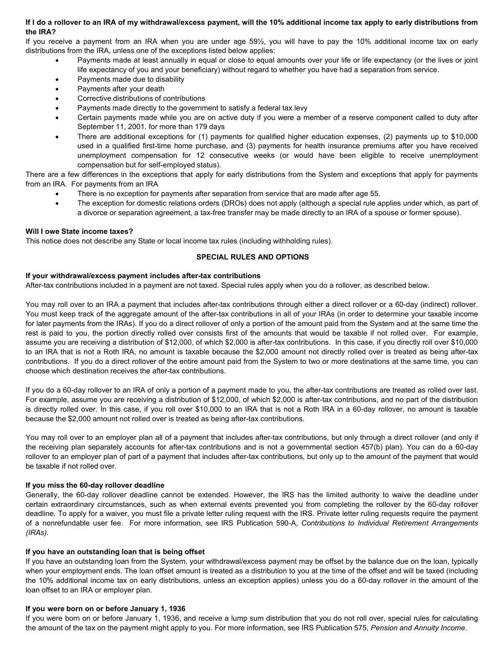#### If I do a rollover to an IRA of my withdrawal/excess payment, will the 10% additional income tax apply to early distributions from **the IRA?**

If you receive a payment from an IRA when you are under age 59½, you will have to pay the 10% additional income tax on early distributions from the IRA, unless one of the exceptions listed below applies:

- Payments made at least annually in equal or close to equal amounts over your life or life expectancy (or the lives or joint life expectancy of you and your beneficiary) without regard to whether you have had a separation from service.
- Payments made due to disability
- Payments after your death
- Corrective distributions of contributions
- Payments made directly to the government to satisfy a federal tax levy
- Certain payments made while you are on active duty if you were a member of a reserve component called to duty after September 11, 2001, for more than 179 days
- There are additional exceptions for (1) payments for qualified higher education expenses, (2) payments up to \$10,000 used in a qualified first-time home purchase, and (3) payments for health insurance premiums after you have received unemployment compensation for 12 consecutive weeks (or would have been eligible to receive unemployment compensation but for self-employed status).

There are a few differences in the exceptions that apply for early distributions from the System and exceptions that apply for payments from an IRA. For payments from an IRA

- There is no exception for payments after separation from service that are made after age 55.
- The exception for domestic relations orders (DROs) does not apply (although a special rule applies under which, as part of a divorce or separation agreement, a tax-free transfer may be made directly to an IRA of a spouse or former spouse).

#### **Will I owe State income taxes?**

This notice does not describe any State or local income tax rules (including withholding rules).

#### **SPECIAL RULES AND OPTIONS**

#### **If your withdrawal/excess payment includes after-tax contributions**

After-tax contributions included in a payment are not taxed. Special rules apply when you do a rollover, as described below.

You may roll over to an IRA a payment that includes after-tax contributions through either a direct rollover or a 60-day (indirect) rollover. You must keep track of the aggregate amount of the after-tax contributions in all of your IRAs (in order to determine your taxable income for later payments from the IRAs). If you do a direct rollover of only a portion of the amount paid from the System and at the same time the rest is paid to you, the portion directly rolled over consists first of the amounts that would be taxable if not rolled over. For example, assume you are receiving a distribution of \$12,000, of which \$2,000 is after-tax contributions. In this case, if you directly roll over \$10,000 to an IRA that is not a Roth IRA, no amount is taxable because the \$2,000 amount not directly rolled over is treated as being after-tax contributions. If you do a direct rollover of the entire amount paid from the System to two or more destinations at the same time, you can choose which destination receives the after-tax contributions.

If you do a 60-day rollover to an IRA of only a portion of a payment made to you, the after-tax contributions are treated as rolled over last. For example, assume you are receiving a distribution of \$12,000, of which \$2,000 is after-tax contributions, and no part of the distribution is directly rolled over. In this case, if you roll over \$10,000 to an IRA that is not a Roth IRA in a 60-day rollover, no amount is taxable because the \$2,000 amount not rolled over is treated as being after-tax contributions.

You may roll over to an employer plan all of a payment that includes after-tax contributions, but only through a direct rollover (and only if the receiving plan separately accounts for after-tax contributions and is not a governmental section 457(b) plan). You can do a 60-day rollover to an employer plan of part of a payment that includes after-tax contributions, but only up to the amount of the payment that would be taxable if not rolled over.

#### **If you miss the 60-day rollover deadline**

Generally, the 60-day rollover deadline cannot be extended. However, the IRS has the limited authority to waive the deadline under certain extraordinary circumstances, such as when external events prevented you from completing the rollover by the 60-day rollover deadline. To apply for a waiver, you must file a private letter ruling request with the IRS. Private letter ruling requests require the payment of a nonrefundable user fee. For more information, see IRS Publication 590-A, *Contributions to Individual Retirement Arrangements (IRAs).*

#### **If you have an outstanding loan that is being offset**

If you have an outstanding loan from the System, your withdrawal/excess payment may be offset by the balance due on the loan, typically when your employment ends. The loan offset amount is treated as a distribution to you at the time of the offset and will be taxed (including the 10% additional income tax on early distributions, unless an exception applies) unless you do a 60-day rollover in the amount of the loan offset to an IRA or employer plan.

#### **If you were born on or before January 1, 1936**

If you were born on or before January 1, 1936, and receive a lump sum distribution that you do not roll over, special rules for calculating the amount of the tax on the payment might apply to you. For more information, see IRS Publication 575, *Pension and Annuity Income.*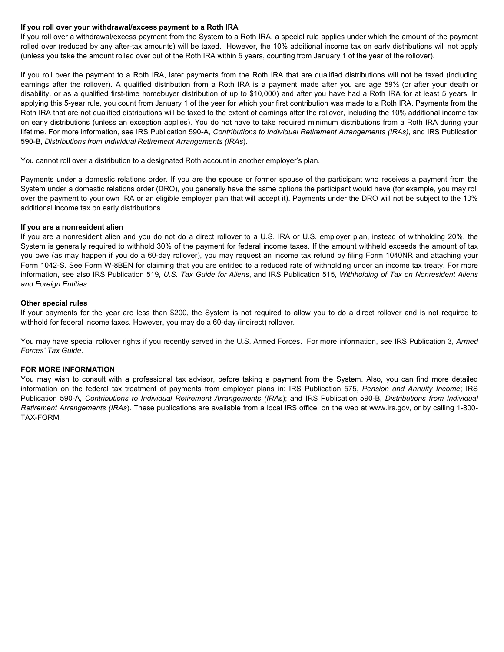#### **If you roll over your withdrawal/excess payment to a Roth IRA**

If you roll over a withdrawal/excess payment from the System to a Roth IRA, a special rule applies under which the amount of the payment rolled over (reduced by any after-tax amounts) will be taxed. However, the 10% additional income tax on early distributions will not apply (unless you take the amount rolled over out of the Roth IRA within 5 years, counting from January 1 of the year of the rollover).

If you roll over the payment to a Roth IRA, later payments from the Roth IRA that are qualified distributions will not be taxed (including earnings after the rollover). A qualified distribution from a Roth IRA is a payment made after you are age 59½ (or after your death or disability, or as a qualified first-time homebuyer distribution of up to \$10,000) and after you have had a Roth IRA for at least 5 years. In applying this 5-year rule, you count from January 1 of the year for which your first contribution was made to a Roth IRA. Payments from the Roth IRA that are not qualified distributions will be taxed to the extent of earnings after the rollover, including the 10% additional income tax on early distributions (unless an exception applies). You do not have to take required minimum distributions from a Roth IRA during your lifetime. For more information, see IRS Publication 590-A, *Contributions to Individual Retirement Arrangements (IRAs)*, and IRS Publication 590-B, *Distributions from Individual Retirement Arrangements (IRAs*).

You cannot roll over a distribution to a designated Roth account in another employer's plan.

Payments under a domestic relations order. If you are the spouse or former spouse of the participant who receives a payment from the System under a domestic relations order (DRO), you generally have the same options the participant would have (for example, you may roll over the payment to your own IRA or an eligible employer plan that will accept it). Payments under the DRO will not be subject to the 10% additional income tax on early distributions.

#### **If you are a nonresident alien**

If you are a nonresident alien and you do not do a direct rollover to a U.S. IRA or U.S. employer plan, instead of withholding 20%, the System is generally required to withhold 30% of the payment for federal income taxes. If the amount withheld exceeds the amount of tax you owe (as may happen if you do a 60-day rollover), you may request an income tax refund by filing Form 1040NR and attaching your Form 1042-S. See Form W-8BEN for claiming that you are entitled to a reduced rate of withholding under an income tax treaty. For more information, see also IRS Publication 519, *U.S. Tax Guide for Aliens*, and IRS Publication 515, *Withholding of Tax on Nonresident Aliens and Foreign Entities.*

#### **Other special rules**

If your payments for the year are less than \$200, the System is not required to allow you to do a direct rollover and is not required to withhold for federal income taxes. However, you may do a 60-day (indirect) rollover.

You may have special rollover rights if you recently served in the U.S. Armed Forces. For more information, see IRS Publication 3, *Armed Forces' Tax Guide*.

## **FOR MORE INFORMATION**

You may wish to consult with a professional tax advisor, before taking a payment from the System. Also, you can find more detailed information on the federal tax treatment of payments from employer plans in: IRS Publication 575, *Pension and Annuity Income*; IRS Publication 590-A, *Contributions to Individual Retirement Arrangements (IRAs*); and IRS Publication 590-B, *Distributions from Individual Retirement Arrangements (IRAs*). These publications are available from a local IRS office, on the web at www.irs.gov, or by calling 1-800- TAX-FORM.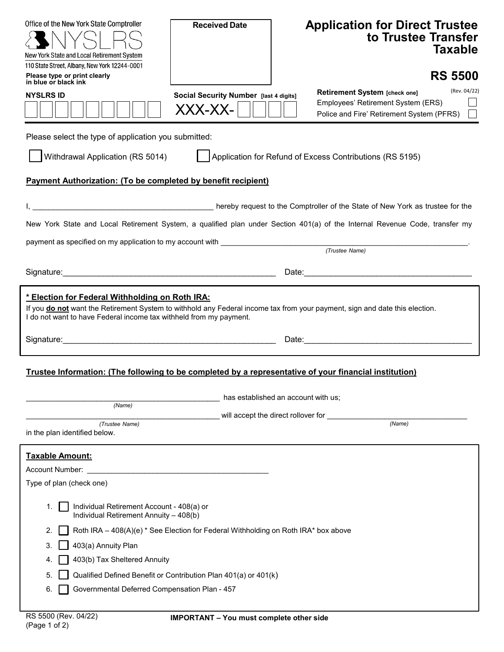| Office of the New York State Comptroller<br>New York State and Local Retirement System<br>110 State Street, Albany, New York 12244-0001                                                                                                                                                                                                                                                  | <b>Received Date</b>                              | <b>Application for Direct Trustee</b><br>to Trustee Transfer<br>Taxable                                                          |  |  |
|------------------------------------------------------------------------------------------------------------------------------------------------------------------------------------------------------------------------------------------------------------------------------------------------------------------------------------------------------------------------------------------|---------------------------------------------------|----------------------------------------------------------------------------------------------------------------------------------|--|--|
| Please type or print clearly<br>in blue or black ink                                                                                                                                                                                                                                                                                                                                     |                                                   | <b>RS 5500</b>                                                                                                                   |  |  |
| <b>NYSLRS ID</b>                                                                                                                                                                                                                                                                                                                                                                         | Social Security Number [last 4 digits]<br>XXX-XX- | (Rev. 04/22)<br>Retirement System [check one]<br>Employees' Retirement System (ERS)<br>Police and Fire' Retirement System (PFRS) |  |  |
| Please select the type of application you submitted:                                                                                                                                                                                                                                                                                                                                     |                                                   |                                                                                                                                  |  |  |
| Withdrawal Application (RS 5014)                                                                                                                                                                                                                                                                                                                                                         |                                                   | Application for Refund of Excess Contributions (RS 5195)                                                                         |  |  |
| <b>Payment Authorization: (To be completed by benefit recipient)</b>                                                                                                                                                                                                                                                                                                                     |                                                   |                                                                                                                                  |  |  |
|                                                                                                                                                                                                                                                                                                                                                                                          |                                                   | hereby request to the Comptroller of the State of New York as trustee for the State of New York as trustee for the               |  |  |
|                                                                                                                                                                                                                                                                                                                                                                                          |                                                   | New York State and Local Retirement System, a qualified plan under Section 401(a) of the Internal Revenue Code, transfer my      |  |  |
|                                                                                                                                                                                                                                                                                                                                                                                          |                                                   |                                                                                                                                  |  |  |
|                                                                                                                                                                                                                                                                                                                                                                                          |                                                   |                                                                                                                                  |  |  |
| * Election for Federal Withholding on Roth IRA:<br>If you do not want the Retirement System to withhold any Federal income tax from your payment, sign and date this election.<br>I do not want to have Federal income tax withheld from my payment.                                                                                                                                     |                                                   |                                                                                                                                  |  |  |
| Trustee Information: (The following to be completed by a representative of your financial institution)                                                                                                                                                                                                                                                                                   |                                                   |                                                                                                                                  |  |  |
|                                                                                                                                                                                                                                                                                                                                                                                          |                                                   | has established an account with us;                                                                                              |  |  |
| (Name)                                                                                                                                                                                                                                                                                                                                                                                   |                                                   | will accept the direct rollover for                                                                                              |  |  |
| (Trustee Name)<br>in the plan identified below.                                                                                                                                                                                                                                                                                                                                          |                                                   | (Name)                                                                                                                           |  |  |
| <b>Taxable Amount:</b><br>Account Number:<br>Type of plan (check one)                                                                                                                                                                                                                                                                                                                    |                                                   |                                                                                                                                  |  |  |
| Individual Retirement Account - 408(a) or<br>1.<br>Individual Retirement Annuity - 408(b)<br>Roth IRA - 408(A)(e) * See Election for Federal Withholding on Roth IRA* box above<br>2.<br>403(a) Annuity Plan<br>3.<br>403(b) Tax Sheltered Annuity<br>4.<br>Qualified Defined Benefit or Contribution Plan 401(a) or 401(k)<br>5.<br>Governmental Deferred Compensation Plan - 457<br>6. |                                                   |                                                                                                                                  |  |  |